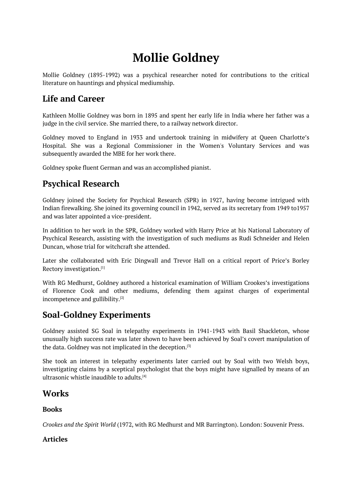# **Mollie Goldney**

<span id="page-0-0"></span>Mollie Goldney (1895-1992) was a psychical researcher noted for contributions to the critical literature on hauntings and physical mediumship.

### **Life and Career**

Kathleen Mollie Goldney was born in 1895 and spent her early life in India where her father was a judge in the civil service. She married there, to a railway network director.

Goldney moved to England in 1933 and undertook training in midwifery at Queen Charlotte's Hospital. She was a Regional Commissioner in the Women's Voluntary Services and was subsequently awarded the MBE for her work there.

Goldney spoke fluent German and was an accomplished pianist.

### **Psychical Research**

Goldney joined the Society for Psychical Research (SPR) in 1927, having become intrigued with Indian firewalking. She joined its governing council in 1942, served as its secretary from 1949 to1957 and was later appointed a vice-president.

In addition to her work in the SPR, Goldney worked with Harry Price at his National Laboratory of Psychical Research, assisting with the investigation of such mediums as Rudi Schneider and Helen Duncan, whose trial for witchcraft she attended.

Later she collaborated with Eric Dingwall and Trevor Hall on a critical report of Price's Borley Rectory investigation. [1]

With RG Medhurst, Goldney authored a historical examination of William Crookes's investigations of Florence Cook and other mediums, defending them against charges of experimental incompetence and gul[lib](#page-0-0)ility.<sup>[2]</sup>

## **Soal-Goldney Experiments**

Goldney assisted SG Soal i[n](#page-0-0) telepathy experiments in 1941-1943 with Basil Shackleton, whose unusually high success rate was later shown to have been achieved by Soal's covert manipulation of the data. Goldney was not implicated in the deception. [3]

She took an interest in telepathy experiments later carried out by Soal with two Welsh boys, investigating claims by a sceptical psychologist that the boys might have signalled by means of an ultrasonic whistle inaudible to adults. [4]

### **Works**

#### **Books**

*Crookes and the Spirit World* (1972, with RG Medhurst and MR Barrington). London: Souvenir Press.

#### **Articles**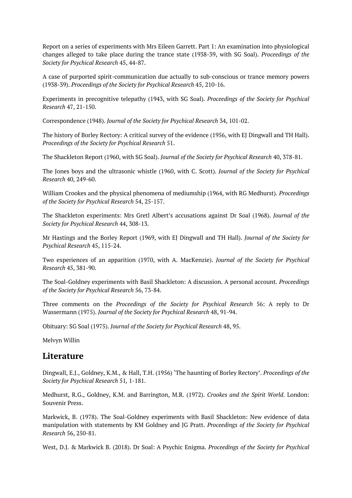Report on a series of experiments with Mrs Eileen Garrett. Part 1: An examination into physiological changes alleged to take place during the trance state (1938-39, with SG Soal). *Proceedings of the Society for Psychical Research* 45, 44-87.

A case of purported spirit-communication due actually to sub-conscious or trance memory powers (1938-39). *Proceedings of the Society for Psychical Research* 45, 210-16.

Experiments in precognitive telepathy (1943, with SG Soal). *Proceedings of the Society for Psychical Research* 47, 21-150.

Correspondence (1948). *Journal of the Society for Psychical Research* 34, 101-02.

The history of Borley Rectory: A critical survey of the evidence (1956, with EJ Dingwall and TH Hall). *Proceedings of the Society for Psychical Research* 51.

The Shackleton Report (1960, with SG Soal). *Journal of the Society for Psychical Research* 40, 378-81.

The Jones boys and the ultrasonic whistle (1960, with C. Scott). *Journal of the Society for Psychical Research* 40, 249-60.

William Crookes and the physical phenomena of mediumship (1964, with RG Medhurst). *Proceedings of the Society for Psychical Research* 54, 25-157.

The Shackleton experiments: Mrs Gretl Albert's accusations against Dr Soal (1968). *Journal of the Society for Psychical Research* 44, 308-13.

Mr Hastings and the Borley Report (1969, with EJ Dingwall and TH Hall). *Journal of the Society for Psychical Research* 45, 115-24.

Two experiences of an apparition (1970, with A. MacKenzie). *Journal of the Society for Psychical Research* 45, 381-90.

The Soal-Goldney experiments with Basil Shackleton: A discussion. A personal account. *Proceedings of the Society for Psychical Research* 56, 73-84.

Three comments on the *Proceedings of the Society for Psychical Research* 56: A reply to Dr Wassermann (1975). *Journal of the Society for Psychical Research* 48, 91-94.

Obituary: SG Soal (1975). *Journal of the Society for Psychical Research* 48, 95.

Melvyn Willin

### **Literature**

Dingwall, E.J., Goldney, K.M., & Hall, T.H. (1956) 'The haunting of Borley Rectory'. *Proceedings of the Society for Psychical Research* 51*,* 1-181.

Medhurst, R.G., Goldney, K.M. and Barrington, M.R. (1972). *Crookes and the Spirit World*. London: Souvenir Press.

Markwick, B. (1978). The Soal-Goldney experiments with Basil Shackleton: New evidence of data manipulation with statements by KM Goldney and JG Pratt. *Proceedings of the Society for Psychical Research* 56, 250-81.

West, D.J. & Markwick B. (2018). Dr Soal: A Psychic Enigma. *Proceedings of the Society for Psychical*